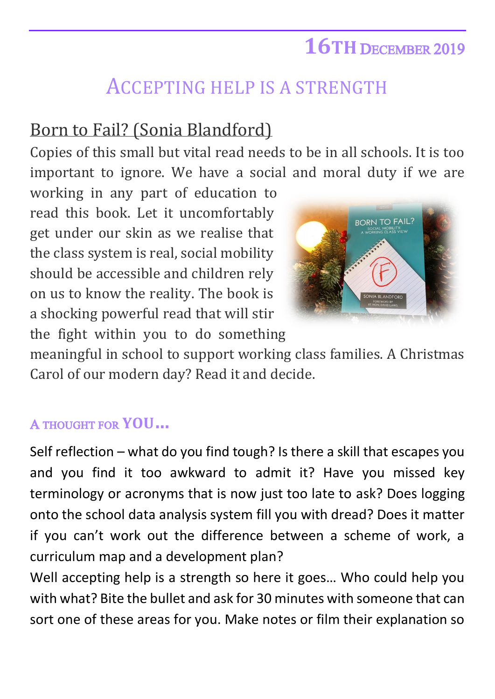## **16TH** DECEMBER 2019

## ACCEPTING HELP IS A STRENGTH

## Born to Fail? (Sonia Blandford)

Copies of this small but vital read needs to be in all schools. It is too important to ignore. We have a social and moral duty if we are

working in any part of education to read this book. Let it uncomfortably get under our skin as we realise that the class system is real, social mobility should be accessible and children rely on us to know the reality. The book is a shocking powerful read that will stir the fight within you to do something



meaningful in school to support working class families. A Christmas Carol of our modern day? Read it and decide.

## A THOUGHT FOR **YOU…**

Self reflection – what do you find tough? Is there a skill that escapes you and you find it too awkward to admit it? Have you missed key terminology or acronyms that is now just too late to ask? Does logging onto the school data analysis system fill you with dread? Does it matter if you can't work out the difference between a scheme of work, a curriculum map and a development plan?

Well accepting help is a strength so here it goes… Who could help you with what? Bite the bullet and ask for 30 minutes with someone that can sort one of these areas for you. Make notes or film their explanation so